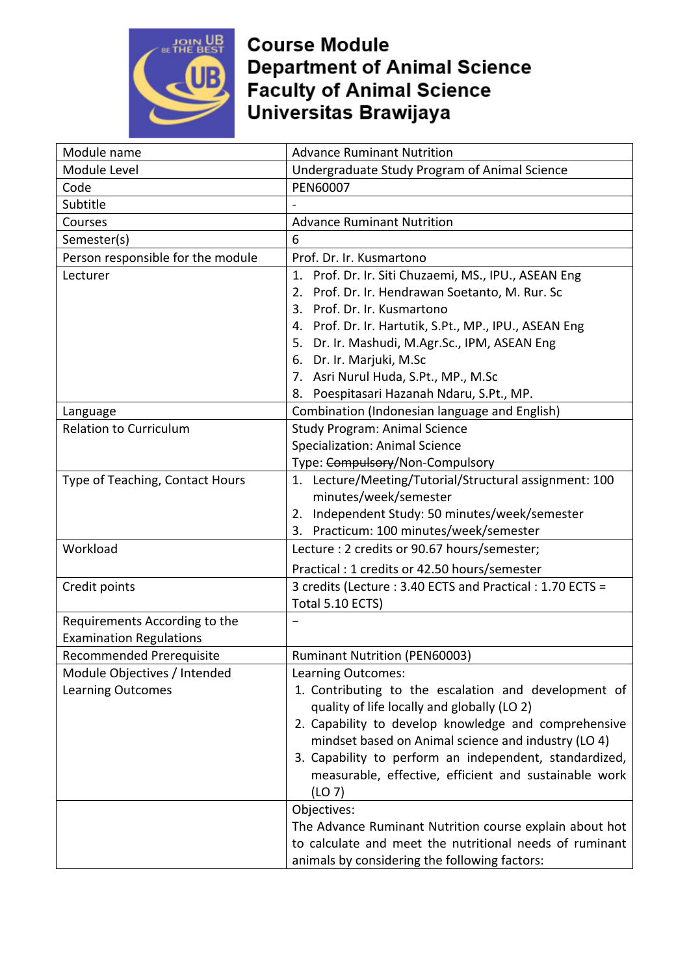

| Module name                       | <b>Advance Ruminant Nutrition</b>                        |  |  |
|-----------------------------------|----------------------------------------------------------|--|--|
| Module Level                      | Undergraduate Study Program of Animal Science            |  |  |
| Code                              | PEN60007                                                 |  |  |
| Subtitle                          |                                                          |  |  |
| Courses                           | <b>Advance Ruminant Nutrition</b>                        |  |  |
| Semester(s)                       | 6                                                        |  |  |
| Person responsible for the module | Prof. Dr. Ir. Kusmartono                                 |  |  |
| Lecturer                          | 1. Prof. Dr. Ir. Siti Chuzaemi, MS., IPU., ASEAN Eng     |  |  |
|                                   | Prof. Dr. Ir. Hendrawan Soetanto, M. Rur. Sc<br>2.       |  |  |
|                                   | 3. Prof. Dr. Ir. Kusmartono                              |  |  |
|                                   | 4. Prof. Dr. Ir. Hartutik, S.Pt., MP., IPU., ASEAN Eng   |  |  |
|                                   | 5. Dr. Ir. Mashudi, M.Agr.Sc., IPM, ASEAN Eng            |  |  |
|                                   | 6. Dr. Ir. Marjuki, M.Sc                                 |  |  |
|                                   | 7. Asri Nurul Huda, S.Pt., MP., M.Sc                     |  |  |
|                                   | Poespitasari Hazanah Ndaru, S.Pt., MP.<br>8.             |  |  |
| Language                          | Combination (Indonesian language and English)            |  |  |
| <b>Relation to Curriculum</b>     | <b>Study Program: Animal Science</b>                     |  |  |
|                                   | <b>Specialization: Animal Science</b>                    |  |  |
|                                   | Type: Compulsory/Non-Compulsory                          |  |  |
| Type of Teaching, Contact Hours   | 1. Lecture/Meeting/Tutorial/Structural assignment: 100   |  |  |
|                                   | minutes/week/semester                                    |  |  |
|                                   | 2. Independent Study: 50 minutes/week/semester           |  |  |
|                                   | 3. Practicum: 100 minutes/week/semester                  |  |  |
| Workload                          | Lecture : 2 credits or 90.67 hours/semester;             |  |  |
|                                   | Practical: 1 credits or 42.50 hours/semester             |  |  |
| Credit points                     | 3 credits (Lecture: 3.40 ECTS and Practical: 1.70 ECTS = |  |  |
|                                   | Total 5.10 ECTS)                                         |  |  |
| Requirements According to the     |                                                          |  |  |
| <b>Examination Regulations</b>    |                                                          |  |  |
| <b>Recommended Prerequisite</b>   | <b>Ruminant Nutrition (PEN60003)</b>                     |  |  |
| Module Objectives / Intended      | Learning Outcomes:                                       |  |  |
| <b>Learning Outcomes</b>          | 1. Contributing to the escalation and development of     |  |  |
|                                   | quality of life locally and globally (LO 2)              |  |  |
|                                   | 2. Capability to develop knowledge and comprehensive     |  |  |
|                                   | mindset based on Animal science and industry (LO 4)      |  |  |
|                                   | 3. Capability to perform an independent, standardized,   |  |  |
|                                   | measurable, effective, efficient and sustainable work    |  |  |
|                                   | (LO 7)                                                   |  |  |
|                                   | Objectives:                                              |  |  |
|                                   | The Advance Ruminant Nutrition course explain about hot  |  |  |
|                                   | to calculate and meet the nutritional needs of ruminant  |  |  |
|                                   | animals by considering the following factors:            |  |  |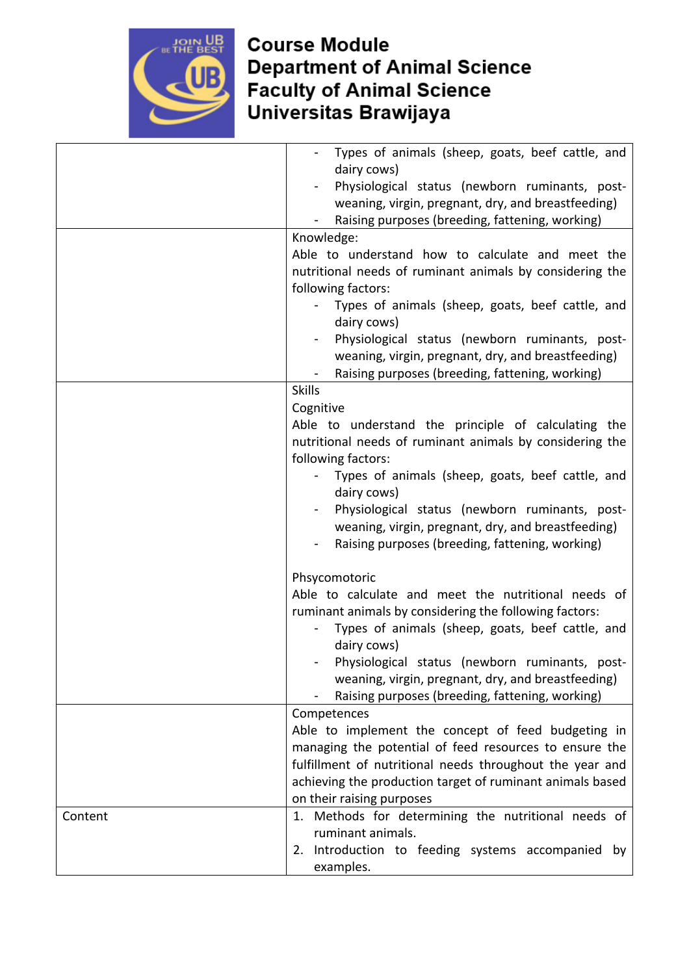

|         | Types of animals (sheep, goats, beef cattle, and<br>dairy cows) |
|---------|-----------------------------------------------------------------|
|         | Physiological status (newborn ruminants, post-                  |
|         | weaning, virgin, pregnant, dry, and breastfeeding)              |
|         | Raising purposes (breeding, fattening, working)                 |
|         | Knowledge:                                                      |
|         | Able to understand how to calculate and meet the                |
|         | nutritional needs of ruminant animals by considering the        |
|         | following factors:                                              |
|         | Types of animals (sheep, goats, beef cattle, and                |
|         | dairy cows)                                                     |
|         | Physiological status (newborn ruminants, post-                  |
|         | weaning, virgin, pregnant, dry, and breastfeeding)              |
|         | Raising purposes (breeding, fattening, working)                 |
|         | <b>Skills</b>                                                   |
|         | Cognitive                                                       |
|         | Able to understand the principle of calculating the             |
|         | nutritional needs of ruminant animals by considering the        |
|         | following factors:                                              |
|         | Types of animals (sheep, goats, beef cattle, and                |
|         | dairy cows)                                                     |
|         | Physiological status (newborn ruminants, post-                  |
|         | weaning, virgin, pregnant, dry, and breastfeeding)              |
|         | Raising purposes (breeding, fattening, working)                 |
|         | Phsycomotoric                                                   |
|         | Able to calculate and meet the nutritional needs of             |
|         | ruminant animals by considering the following factors:          |
|         | Types of animals (sheep, goats, beef cattle, and                |
|         | dairy cows)                                                     |
|         | Physiological status (newborn ruminants, post-                  |
|         | weaning, virgin, pregnant, dry, and breastfeeding)              |
|         | Raising purposes (breeding, fattening, working)                 |
|         | Competences                                                     |
|         | Able to implement the concept of feed budgeting in              |
|         | managing the potential of feed resources to ensure the          |
|         | fulfillment of nutritional needs throughout the year and        |
|         | achieving the production target of ruminant animals based       |
|         | on their raising purposes                                       |
| Content | 1. Methods for determining the nutritional needs of             |
|         | ruminant animals.                                               |
|         | 2. Introduction to feeding systems accompanied<br>by            |
|         | examples.                                                       |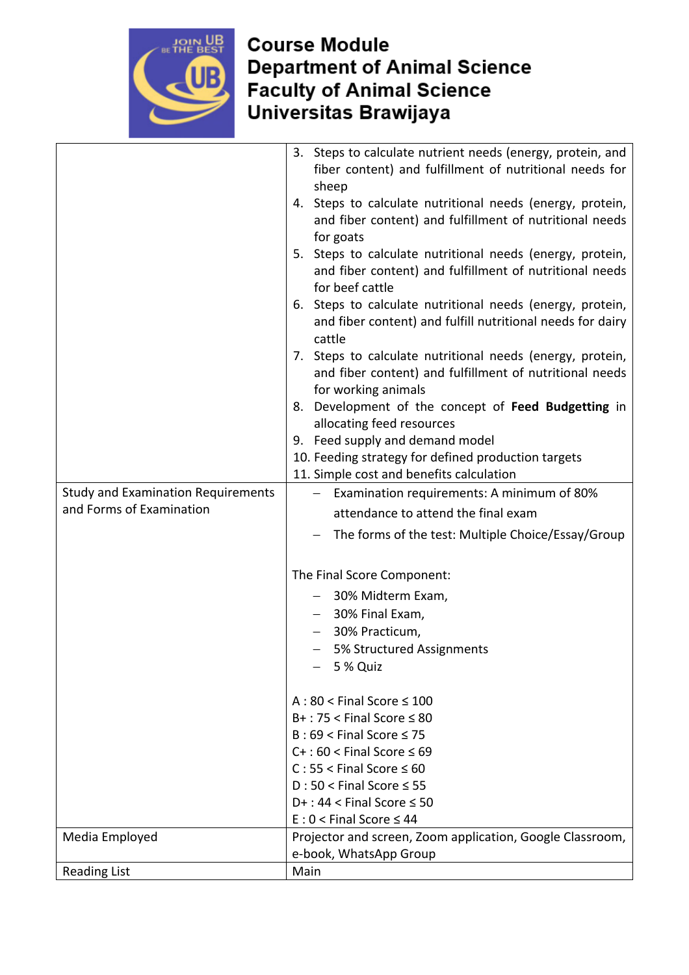

|                                           | 3. Steps to calculate nutrient needs (energy, protein, and             |
|-------------------------------------------|------------------------------------------------------------------------|
|                                           | fiber content) and fulfillment of nutritional needs for                |
|                                           | sheep                                                                  |
|                                           | 4. Steps to calculate nutritional needs (energy, protein,              |
|                                           | and fiber content) and fulfillment of nutritional needs                |
|                                           | for goats                                                              |
|                                           | 5. Steps to calculate nutritional needs (energy, protein,              |
|                                           | and fiber content) and fulfillment of nutritional needs                |
|                                           | for beef cattle                                                        |
|                                           | Steps to calculate nutritional needs (energy, protein,<br>6.           |
|                                           | and fiber content) and fulfill nutritional needs for dairy             |
|                                           | cattle                                                                 |
|                                           | 7. Steps to calculate nutritional needs (energy, protein,              |
|                                           | and fiber content) and fulfillment of nutritional needs                |
|                                           | for working animals                                                    |
|                                           | 8. Development of the concept of Feed Budgetting in                    |
|                                           | allocating feed resources                                              |
|                                           | 9. Feed supply and demand model                                        |
|                                           | 10. Feeding strategy for defined production targets                    |
|                                           | 11. Simple cost and benefits calculation                               |
| <b>Study and Examination Requirements</b> | Examination requirements: A minimum of 80%<br>$\overline{\phantom{0}}$ |
| and Forms of Examination                  | attendance to attend the final exam                                    |
|                                           | The forms of the test: Multiple Choice/Essay/Group                     |
|                                           |                                                                        |
|                                           | The Final Score Component:                                             |
|                                           | - 30% Midterm Exam,                                                    |
|                                           | 30% Final Exam,                                                        |
|                                           | 30% Practicum,<br>$\overline{\phantom{0}}$                             |
|                                           | 5% Structured Assignments                                              |
|                                           | 5 % Quiz                                                               |
|                                           |                                                                        |
|                                           | $A:80 <$ Final Score $\leq 100$                                        |
|                                           | $B+$ : 75 < Final Score $\leq 80$                                      |
|                                           | $B:69 <$ Final Score $\leq 75$                                         |
|                                           | $C+$ : 60 < Final Score $\leq 69$                                      |
|                                           | $C: 55 <$ Final Score $\leq 60$                                        |
|                                           | $D: 50 <$ Final Score $\leq 55$                                        |
|                                           | $D+$ : 44 < Final Score $\leq$ 50                                      |
|                                           | $E: 0 <$ Final Score $\leq 44$                                         |
| Media Employed                            | Projector and screen, Zoom application, Google Classroom,              |
|                                           | e-book, WhatsApp Group                                                 |
| <b>Reading List</b>                       | Main                                                                   |